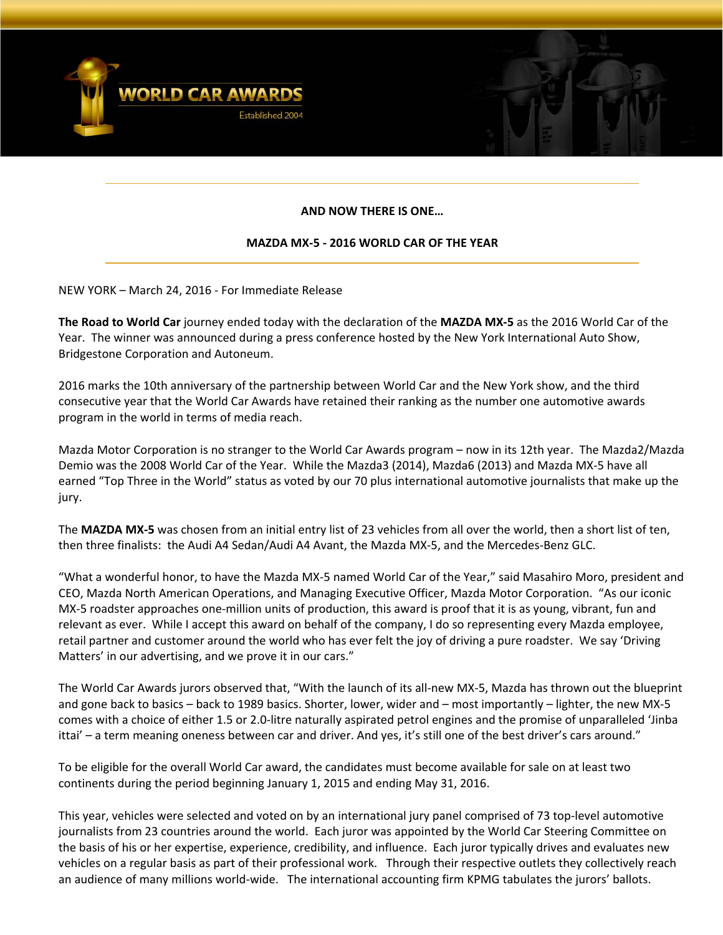

# **AND NOW THERE IS ONE…**

# **MAZDA MX‐5 ‐ 2016 WORLD CAR OF THE YEAR**

NEW YORK – March 24, 2016 ‐ For Immediate Release

**The Road to World Car** journey ended today with the declaration of the **MAZDA MX‐5** as the 2016 World Car of the Year. The winner was announced during a press conference hosted by the New York International Auto Show, Bridgestone Corporation and Autoneum.

2016 marks the 10th anniversary of the partnership between World Car and the New York show, and the third consecutive year that the World Car Awards have retained their ranking as the number one automotive awards program in the world in terms of media reach.

Mazda Motor Corporation is no stranger to the World Car Awards program – now in its 12th year. The Mazda2/Mazda Demio was the 2008 World Car of the Year. While the Mazda3 (2014), Mazda6 (2013) and Mazda MX‐5 have all earned "Top Three in the World" status as voted by our 70 plus international automotive journalists that make up the jury.

The **MAZDA MX‐5** was chosen from an initial entry list of 23 vehicles from all over the world, then a short list of ten, then three finalists: the Audi A4 Sedan/Audi A4 Avant, the Mazda MX‐5, and the Mercedes‐Benz GLC.

"What a wonderful honor, to have the Mazda MX‐5 named World Car of the Year," said Masahiro Moro, president and CEO, Mazda North American Operations, and Managing Executive Officer, Mazda Motor Corporation. "As our iconic MX‐5 roadster approaches one‐million units of production, this award is proof that it is as young, vibrant, fun and relevant as ever. While I accept this award on behalf of the company, I do so representing every Mazda employee, retail partner and customer around the world who has ever felt the joy of driving a pure roadster. We say 'Driving Matters' in our advertising, and we prove it in our cars."

The World Car Awards jurors observed that, "With the launch of its all‐new MX‐5, Mazda has thrown out the blueprint and gone back to basics – back to 1989 basics. Shorter, lower, wider and – most importantly – lighter, the new MX‐5 comes with a choice of either 1.5 or 2.0‐litre naturally aspirated petrol engines and the promise of unparalleled 'Jinba ittai' – a term meaning oneness between car and driver. And yes, it's still one of the best driver's cars around."

To be eligible for the overall World Car award, the candidates must become available for sale on at least two continents during the period beginning January 1, 2015 and ending May 31, 2016.

This year, vehicles were selected and voted on by an international jury panel comprised of 73 top-level automotive journalists from 23 countries around the world. Each juror was appointed by the World Car Steering Committee on the basis of his or her expertise, experience, credibility, and influence. Each juror typically drives and evaluates new vehicles on a regular basis as part of their professional work. Through their respective outlets they collectively reach an audience of many millions world‐wide. The international accounting firm KPMG tabulates the jurors' ballots.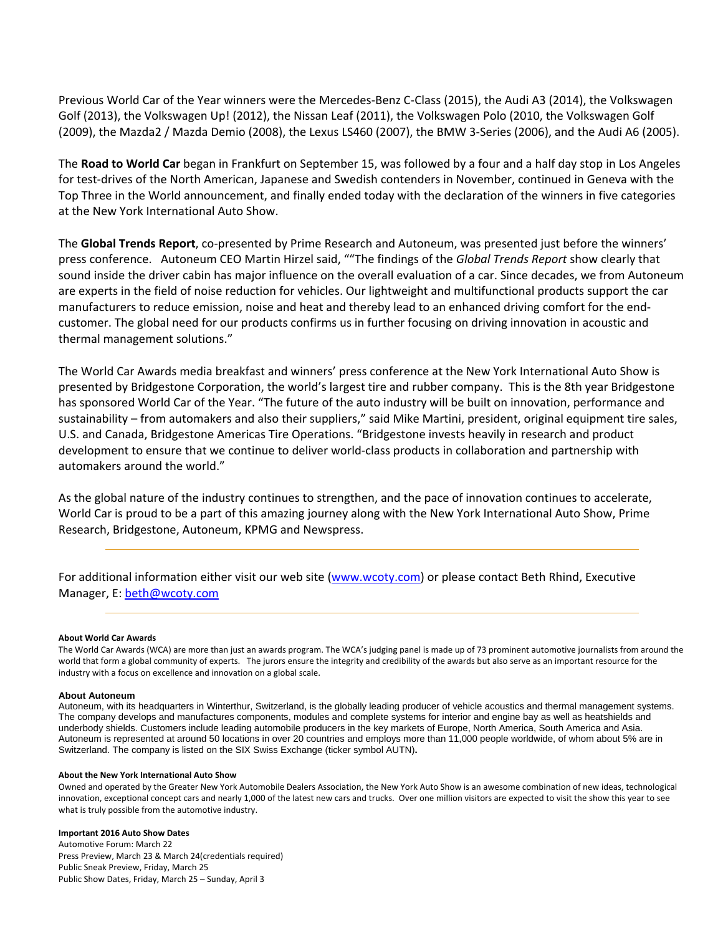Previous World Car of the Year winners were the Mercedes‐Benz C‐Class (2015), the Audi A3 (2014), the Volkswagen Golf (2013), the Volkswagen Up! (2012), the Nissan Leaf (2011), the Volkswagen Polo (2010, the Volkswagen Golf (2009), the Mazda2 / Mazda Demio (2008), the Lexus LS460 (2007), the BMW 3‐Series (2006), and the Audi A6 (2005).

The **Road to World Car** began in Frankfurt on September 15, was followed by a four and a half day stop in Los Angeles for test-drives of the North American, Japanese and Swedish contenders in November, continued in Geneva with the Top Three in the World announcement, and finally ended today with the declaration of the winners in five categories at the New York International Auto Show.

The **Global Trends Report**, co‐presented by Prime Research and Autoneum, was presented just before the winners' press conference. Autoneum CEO Martin Hirzel said, ""The findings of the *Global Trends Report* show clearly that sound inside the driver cabin has major influence on the overall evaluation of a car. Since decades, we from Autoneum are experts in the field of noise reduction for vehicles. Our lightweight and multifunctional products support the car manufacturers to reduce emission, noise and heat and thereby lead to an enhanced driving comfort for the end‐ customer. The global need for our products confirms us in further focusing on driving innovation in acoustic and thermal management solutions."

The World Car Awards media breakfast and winners' press conference at the New York International Auto Show is presented by Bridgestone Corporation, the world's largest tire and rubber company. This is the 8th year Bridgestone has sponsored World Car of the Year. "The future of the auto industry will be built on innovation, performance and sustainability – from automakers and also their suppliers," said Mike Martini, president, original equipment tire sales, U.S. and Canada, Bridgestone Americas Tire Operations. "Bridgestone invests heavily in research and product development to ensure that we continue to deliver world‐class products in collaboration and partnership with automakers around the world."

As the global nature of the industry continues to strengthen, and the pace of innovation continues to accelerate, World Car is proud to be a part of this amazing journey along with the New York International Auto Show, Prime Research, Bridgestone, Autoneum, KPMG and Newspress.

For additional information either visit our web site (www.wcoty.com) or please contact Beth Rhind, Executive Manager, E: beth@wcoty.com

#### **About World Car Awards**

The World Car Awards (WCA) are more than just an awards program. The WCA's judging panel is made up of 73 prominent automotive journalists from around the world that form a global community of experts. The jurors ensure the integrity and credibility of the awards but also serve as an important resource for the industry with a focus on excellence and innovation on a global scale.

#### **About Autoneum**

Autoneum, with its headquarters in Winterthur, Switzerland, is the globally leading producer of vehicle acoustics and thermal management systems. The company develops and manufactures components, modules and complete systems for interior and engine bay as well as heatshields and underbody shields. Customers include leading automobile producers in the key markets of Europe, North America, South America and Asia. Autoneum is represented at around 50 locations in over 20 countries and employs more than 11,000 people worldwide, of whom about 5% are in Switzerland. The company is listed on the SIX Swiss Exchange (ticker symbol AUTN)**.**

#### **About the New York International Auto Show**

Owned and operated by the Greater New York Automobile Dealers Association, the New York Auto Show is an awesome combination of new ideas, technological innovation, exceptional concept cars and nearly 1,000 of the latest new cars and trucks. Over one million visitors are expected to visit the show this year to see what is truly possible from the automotive industry.

### **Important 2016 Auto Show Dates**

Automotive Forum: March 22 Press Preview, March 23 & March 24(credentials required) Public Sneak Preview, Friday, March 25 Public Show Dates, Friday, March 25 – Sunday, April 3